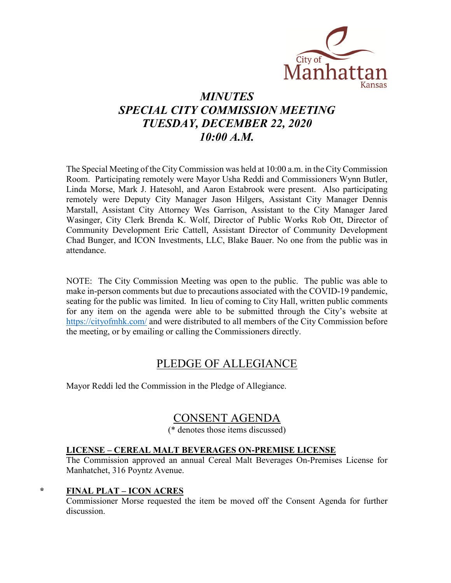

# *MINUTES SPECIAL CITY COMMISSION MEETING TUESDAY, DECEMBER 22, 2020 10:00 A.M.*

The Special Meeting of the City Commission was held at 10:00 a.m. in the City Commission Room. Participating remotely were Mayor Usha Reddi and Commissioners Wynn Butler, Linda Morse, Mark J. Hatesohl, and Aaron Estabrook were present. Also participating remotely were Deputy City Manager Jason Hilgers, Assistant City Manager Dennis Marstall, Assistant City Attorney Wes Garrison, Assistant to the City Manager Jared Wasinger, City Clerk Brenda K. Wolf, Director of Public Works Rob Ott, Director of Community Development Eric Cattell, Assistant Director of Community Development Chad Bunger, and ICON Investments, LLC, Blake Bauer. No one from the public was in attendance.

NOTE: The City Commission Meeting was open to the public. The public was able to make in-person comments but due to precautions associated with the COVID-19 pandemic, seating for the public was limited. In lieu of coming to City Hall, written public comments for any item on the agenda were able to be submitted through the City's website at [https://cityofmhk.com/](https://cityofmhk.com/and) and were distributed to all members of the City Commission before the meeting, or by emailing or calling the Commissioners directly.

# PLEDGE OF ALLEGIANCE

Mayor Reddi led the Commission in the Pledge of Allegiance.

# CONSENT AGENDA

(\* denotes those items discussed)

### **LICENSE – CEREAL MALT BEVERAGES ON-PREMISE LICENSE**

The Commission approved an annual Cereal Malt Beverages On-Premises License for Manhatchet, 316 Poyntz Avenue.

#### **\* FINAL PLAT – ICON ACRES**

Commissioner Morse requested the item be moved off the Consent Agenda for further discussion.